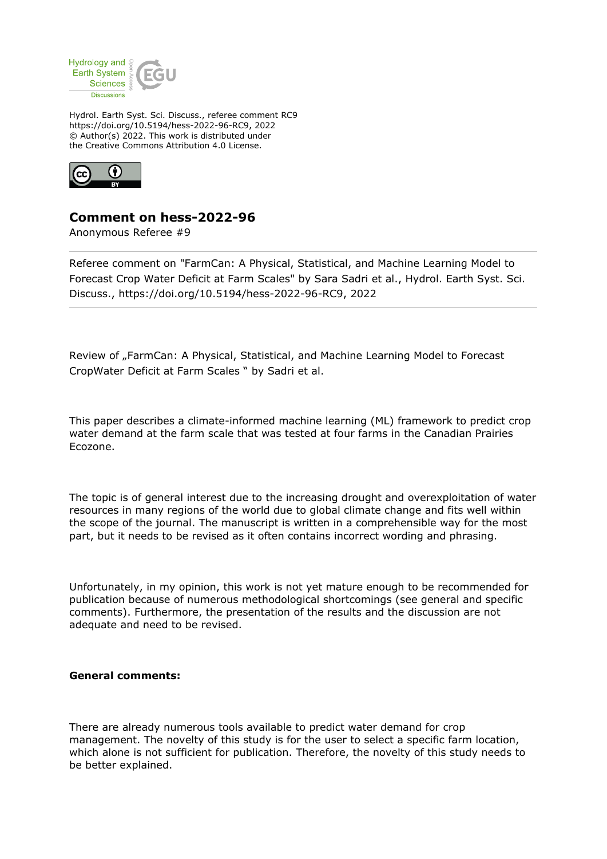

Hydrol. Earth Syst. Sci. Discuss., referee comment RC9 https://doi.org/10.5194/hess-2022-96-RC9, 2022 © Author(s) 2022. This work is distributed under the Creative Commons Attribution 4.0 License.



## **Comment on hess-2022-96**

Anonymous Referee #9

Referee comment on "FarmCan: A Physical, Statistical, and Machine Learning Model to Forecast Crop Water Deficit at Farm Scales" by Sara Sadri et al., Hydrol. Earth Syst. Sci. Discuss., https://doi.org/10.5194/hess-2022-96-RC9, 2022

Review of "FarmCan: A Physical, Statistical, and Machine Learning Model to Forecast CropWater Deficit at Farm Scales " by Sadri et al.

This paper describes a climate-informed machine learning (ML) framework to predict crop water demand at the farm scale that was tested at four farms in the Canadian Prairies Ecozone.

The topic is of general interest due to the increasing drought and overexploitation of water resources in many regions of the world due to global climate change and fits well within the scope of the journal. The manuscript is written in a comprehensible way for the most part, but it needs to be revised as it often contains incorrect wording and phrasing.

Unfortunately, in my opinion, this work is not yet mature enough to be recommended for publication because of numerous methodological shortcomings (see general and specific comments). Furthermore, the presentation of the results and the discussion are not adequate and need to be revised.

## **General comments:**

There are already numerous tools available to predict water demand for crop management. The novelty of this study is for the user to select a specific farm location, which alone is not sufficient for publication. Therefore, the novelty of this study needs to be better explained.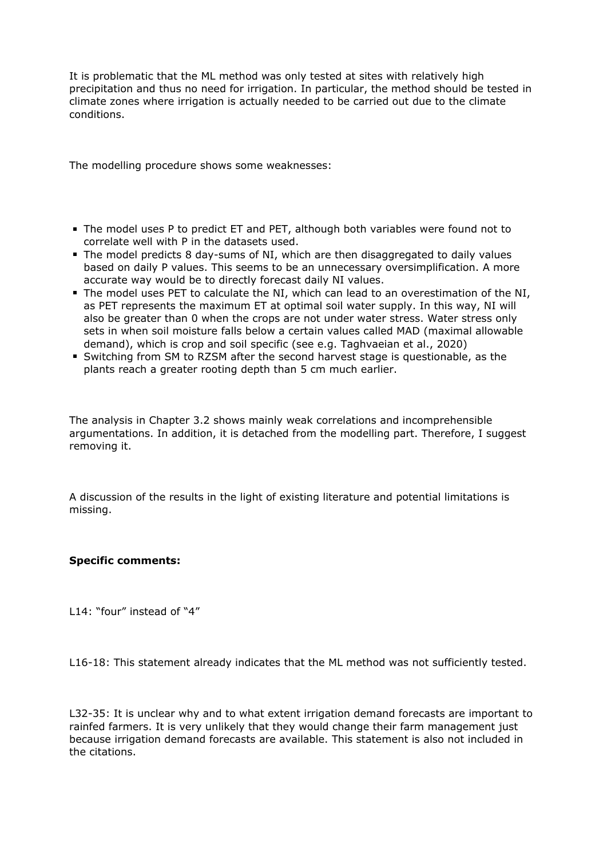It is problematic that the ML method was only tested at sites with relatively high precipitation and thus no need for irrigation. In particular, the method should be tested in climate zones where irrigation is actually needed to be carried out due to the climate conditions.

The modelling procedure shows some weaknesses:

- The model uses P to predict ET and PET, although both variables were found not to correlate well with P in the datasets used.
- The model predicts 8 day-sums of NI, which are then disaggregated to daily values based on daily P values. This seems to be an unnecessary oversimplification. A more accurate way would be to directly forecast daily NI values.
- The model uses PET to calculate the NI, which can lead to an overestimation of the NI, as PET represents the maximum ET at optimal soil water supply. In this way, NI will also be greater than 0 when the crops are not under water stress. Water stress only sets in when soil moisture falls below a certain values called MAD (maximal allowable demand), which is crop and soil specific (see e.g. Taghvaeian et al., 2020)
- Switching from SM to RZSM after the second harvest stage is questionable, as the plants reach a greater rooting depth than 5 cm much earlier.

The analysis in Chapter 3.2 shows mainly weak correlations and incomprehensible argumentations. In addition, it is detached from the modelling part. Therefore, I suggest removing it.

A discussion of the results in the light of existing literature and potential limitations is missing.

## **Specific comments:**

L14: "four" instead of "4"

L16-18: This statement already indicates that the ML method was not sufficiently tested.

L32-35: It is unclear why and to what extent irrigation demand forecasts are important to rainfed farmers. It is very unlikely that they would change their farm management just because irrigation demand forecasts are available. This statement is also not included in the citations.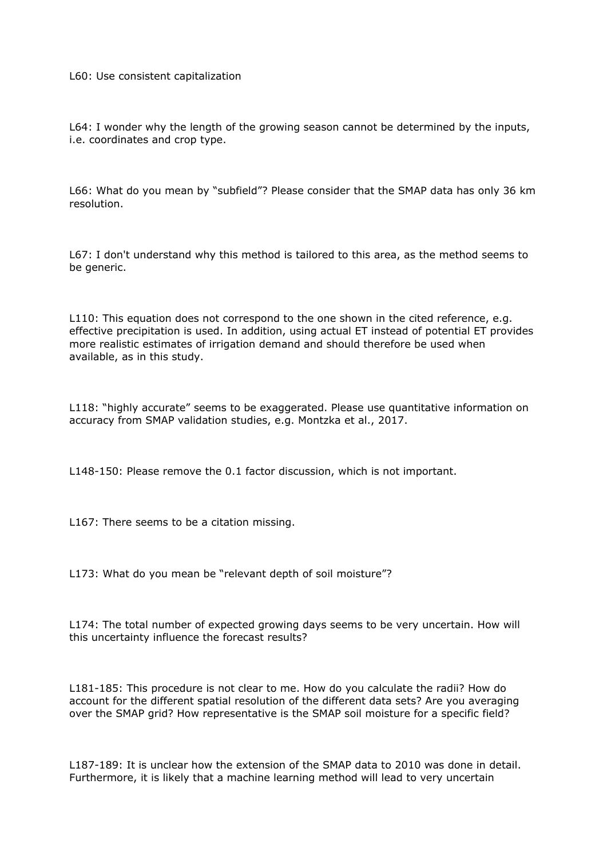## L60: Use consistent capitalization

L64: I wonder why the length of the growing season cannot be determined by the inputs, i.e. coordinates and crop type.

L66: What do you mean by "subfield"? Please consider that the SMAP data has only 36 km resolution.

L67: I don't understand why this method is tailored to this area, as the method seems to be generic.

L110: This equation does not correspond to the one shown in the cited reference, e.g. effective precipitation is used. In addition, using actual ET instead of potential ET provides more realistic estimates of irrigation demand and should therefore be used when available, as in this study.

L118: "highly accurate" seems to be exaggerated. Please use quantitative information on accuracy from SMAP validation studies, e.g. Montzka et al., 2017.

L148-150: Please remove the 0.1 factor discussion, which is not important.

L167: There seems to be a citation missing.

L173: What do you mean be "relevant depth of soil moisture"?

L174: The total number of expected growing days seems to be very uncertain. How will this uncertainty influence the forecast results?

L181-185: This procedure is not clear to me. How do you calculate the radii? How do account for the different spatial resolution of the different data sets? Are you averaging over the SMAP grid? How representative is the SMAP soil moisture for a specific field?

L187-189: It is unclear how the extension of the SMAP data to 2010 was done in detail. Furthermore, it is likely that a machine learning method will lead to very uncertain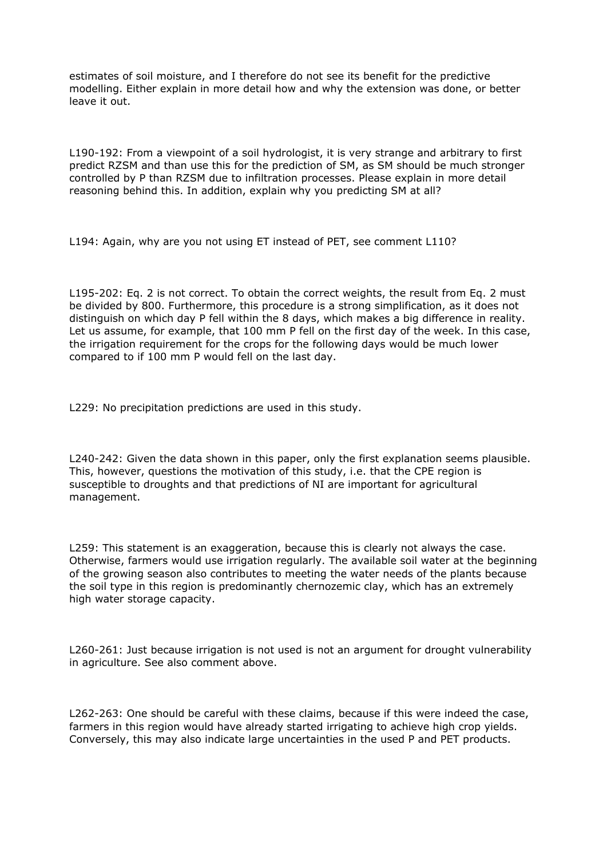estimates of soil moisture, and I therefore do not see its benefit for the predictive modelling. Either explain in more detail how and why the extension was done, or better leave it out.

L190-192: From a viewpoint of a soil hydrologist, it is very strange and arbitrary to first predict RZSM and than use this for the prediction of SM, as SM should be much stronger controlled by P than RZSM due to infiltration processes. Please explain in more detail reasoning behind this. In addition, explain why you predicting SM at all?

L194: Again, why are you not using ET instead of PET, see comment L110?

L195-202: Eq. 2 is not correct. To obtain the correct weights, the result from Eq. 2 must be divided by 800. Furthermore, this procedure is a strong simplification, as it does not distinguish on which day P fell within the 8 days, which makes a big difference in reality. Let us assume, for example, that 100 mm P fell on the first day of the week. In this case, the irrigation requirement for the crops for the following days would be much lower compared to if 100 mm P would fell on the last day.

L229: No precipitation predictions are used in this study.

L240-242: Given the data shown in this paper, only the first explanation seems plausible. This, however, questions the motivation of this study, i.e. that the CPE region is susceptible to droughts and that predictions of NI are important for agricultural management.

L259: This statement is an exaggeration, because this is clearly not always the case. Otherwise, farmers would use irrigation regularly. The available soil water at the beginning of the growing season also contributes to meeting the water needs of the plants because the soil type in this region is predominantly chernozemic clay, which has an extremely high water storage capacity.

L260-261: Just because irrigation is not used is not an argument for drought vulnerability in agriculture. See also comment above.

L262-263: One should be careful with these claims, because if this were indeed the case, farmers in this region would have already started irrigating to achieve high crop yields. Conversely, this may also indicate large uncertainties in the used P and PET products.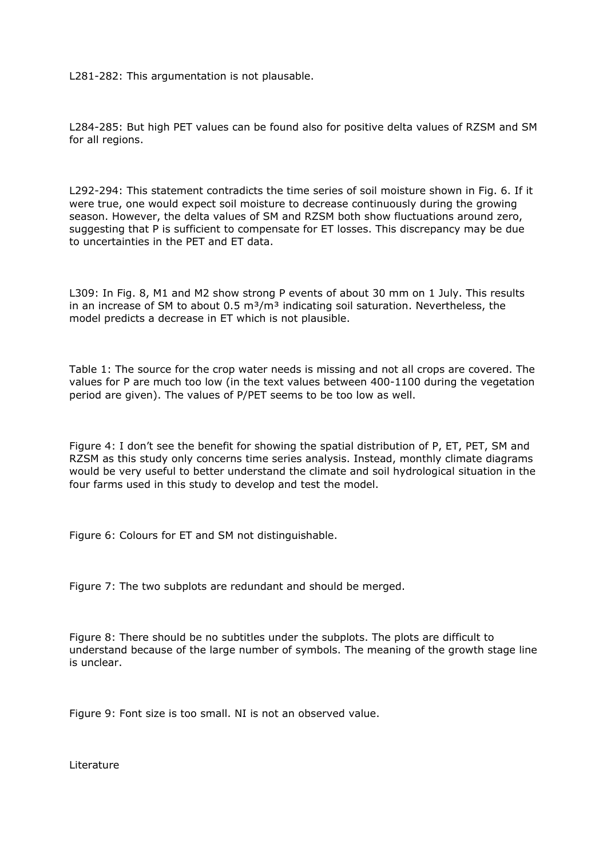L281-282: This argumentation is not plausable.

L284-285: But high PET values can be found also for positive delta values of RZSM and SM for all regions.

L292-294: This statement contradicts the time series of soil moisture shown in Fig. 6. If it were true, one would expect soil moisture to decrease continuously during the growing season. However, the delta values of SM and RZSM both show fluctuations around zero, suggesting that P is sufficient to compensate for ET losses. This discrepancy may be due to uncertainties in the PET and ET data.

L309: In Fig. 8, M1 and M2 show strong P events of about 30 mm on 1 July. This results in an increase of SM to about 0.5  $\text{m}^3/\text{m}^3$  indicating soil saturation. Nevertheless, the model predicts a decrease in ET which is not plausible.

Table 1: The source for the crop water needs is missing and not all crops are covered. The values for P are much too low (in the text values between 400-1100 during the vegetation period are given). The values of P/PET seems to be too low as well.

Figure 4: I don't see the benefit for showing the spatial distribution of P, ET, PET, SM and RZSM as this study only concerns time series analysis. Instead, monthly climate diagrams would be very useful to better understand the climate and soil hydrological situation in the four farms used in this study to develop and test the model.

Figure 6: Colours for ET and SM not distinguishable.

Figure 7: The two subplots are redundant and should be merged.

Figure 8: There should be no subtitles under the subplots. The plots are difficult to understand because of the large number of symbols. The meaning of the growth stage line is unclear.

Figure 9: Font size is too small. NI is not an observed value.

Literature